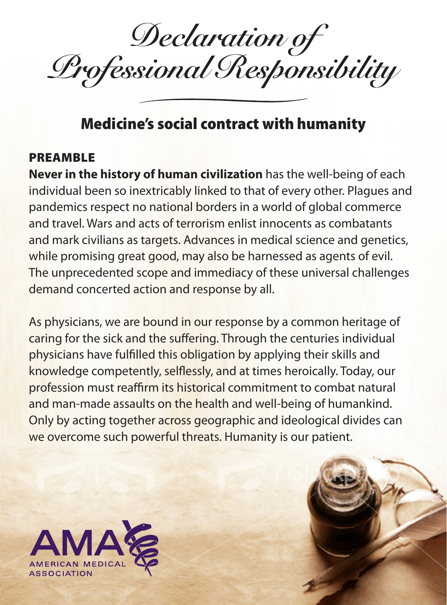*Declaration of Professional Responsibility*

## Medicine's social contract with humanity

## PREAMBLE

**Never in the history of human civilization** has the well-being of each individual been so inextricably linked to that of every other. Plagues and pandemics respect no national borders in a world of global commerce and travel. Wars and acts of terrorism enlist innocents as combatants and mark civilians as targets. Advances in medical science and genetics, while promising great good, may also be harnessed as agents of evil. The unprecedented scope and immediacy of these universal challenges demand concerted action and response by all.

As physicians, we are bound in our response by a common heritage of caring for the sick and the suffering. Through the centuries individual physicians have fulfilled this obligation by applying their skills and knowledge competently, selflessly, and at times heroically. Today, our profession must reaffirm its historical commitment to combat natural and man-made assaults on the health and well-being of humankind. Only by acting together across geographic and ideological divides can we overcome such powerful threats. Humanity is our patient.